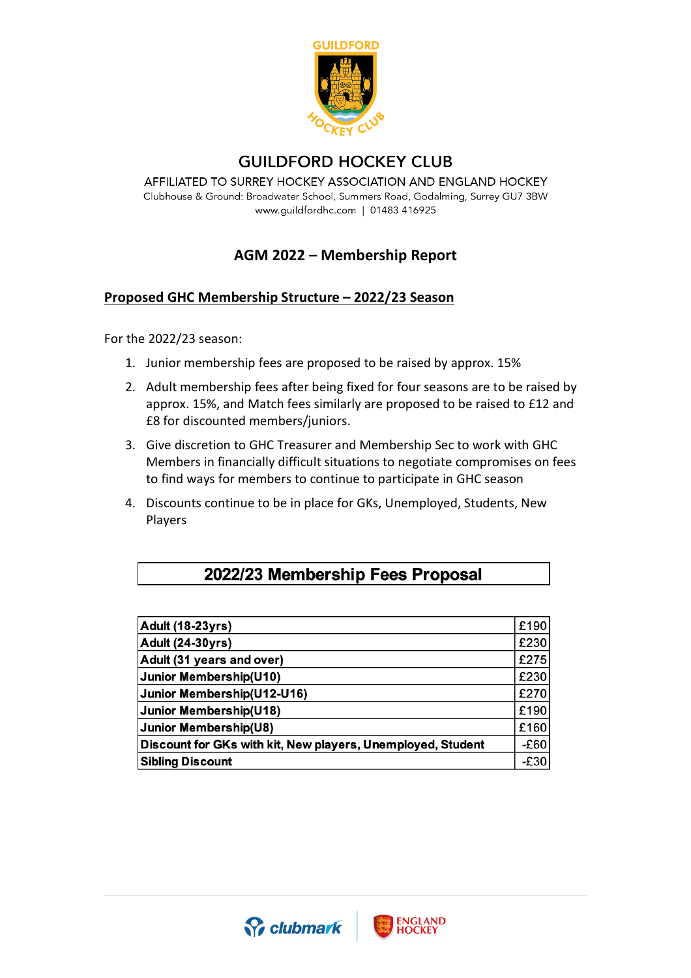

# **GUILDFORD HOCKEY CLUB**

AFFILIATED TO SURREY HOCKEY ASSOCIATION AND ENGLAND HOCKEY Clubhouse & Ground: Broadwater School, Summers Road, Godalming, Surrey GU7 3BW www.guildfordhc.com | 01483 416925

# **AGM 2022 – Membership Report**

### **Proposed GHC Membership Structure – 2022/23 Season**

For the 2022/23 season:

- 1. Junior membership fees are proposed to be raised by approx. 15%
- 2. Adult membership fees after being fixed for four seasons are to be raised by approx. 15%, and Match fees similarly are proposed to be raised to £12 and £8 for discounted members/juniors.
- 3. Give discretion to GHC Treasurer and Membership Sec to work with GHC Members in financially difficult situations to negotiate compromises on fees to find ways for members to continue to participate in GHC season
- 4. Discounts continue to be in place for GKs, Unemployed, Students, New Players

## 2022/23 Membership Fees Proposal

| <b>Adult (18-23yrs)</b>                                     | £190   |
|-------------------------------------------------------------|--------|
| <b>Adult (24-30yrs)</b>                                     | £230   |
| Adult (31 years and over)                                   | £275   |
| Junior Membership(U10)                                      | £230   |
| Junior Membership(U12-U16)                                  | £270   |
| Junior Membership(U18)                                      | £190   |
| <b>Junior Membership(U8)</b>                                | £160   |
| Discount for GKs with kit, New players, Unemployed, Student | $-E60$ |
| <b>Sibling Discount</b>                                     | $-E30$ |

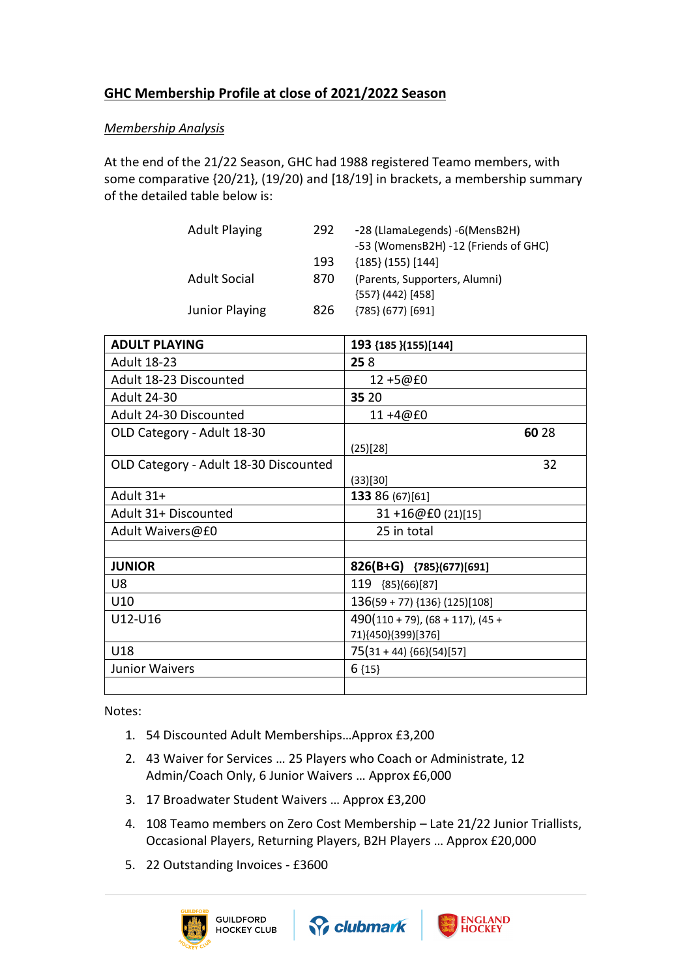### **GHC Membership Profile at close of 2021/2022 Season**

#### *Membership Analysis*

At the end of the 21/22 Season, GHC had 1988 registered Teamo members, with some comparative {20/21}, (19/20) and [18/19] in brackets, a membership summary of the detailed table below is:

| <b>Adult Playing</b>  | 292 | -28 (LlamaLegends) -6(MensB2H)<br>-53 (WomensB2H) -12 (Friends of GHC) |
|-----------------------|-----|------------------------------------------------------------------------|
|                       | 193 | ${185}(155)[144]$                                                      |
| Adult Social          | 870 | (Parents, Supporters, Alumni)<br>{557} (442) [458]                     |
| <b>Junior Playing</b> | 826 | $(785)$ (677) [691]                                                    |

| <b>ADULT PLAYING</b>                  | 193 {185 }(155)[144]                     |
|---------------------------------------|------------------------------------------|
| <b>Adult 18-23</b>                    | 258                                      |
| Adult 18-23 Discounted                | 12+5@£0                                  |
| <b>Adult 24-30</b>                    | 35 20                                    |
| Adult 24-30 Discounted                | 11+4@£0                                  |
| OLD Category - Adult 18-30            | 60 28                                    |
|                                       | (25)[28]                                 |
| OLD Category - Adult 18-30 Discounted | 32                                       |
|                                       | (33)[30]                                 |
| Adult 31+                             | 133 86 (67)[61]                          |
| Adult 31+ Discounted                  | $31 + 16@E0(21)[15]$                     |
| Adult Waivers@£0                      | 25 in total                              |
|                                       |                                          |
| <b>JUNIOR</b>                         | 826(B+G) {785}(677)[691]                 |
| U8                                    | 119 {85}(66)[87]                         |
| U10                                   | 136(59 + 77) {136} (125)[108]            |
| U12-U16                               | $490(110 + 79)$ , $(68 + 117)$ , $(45 +$ |
|                                       | 71){450}(399)[376]                       |
| U18                                   | $75(31 + 44)$ {66}(54)[57]               |
| <b>Junior Waivers</b>                 | $6 {15}$                                 |
|                                       |                                          |

Notes:

- 1. 54 Discounted Adult Memberships…Approx £3,200
- 2. 43 Waiver for Services … 25 Players who Coach or Administrate, 12 Admin/Coach Only, 6 Junior Waivers … Approx £6,000
- 3. 17 Broadwater Student Waivers … Approx £3,200
- 4. 108 Teamo members on Zero Cost Membership Late 21/22 Junior Triallists, Occasional Players, Returning Players, B2H Players … Approx £20,000
- 5. 22 Outstanding Invoices £3600